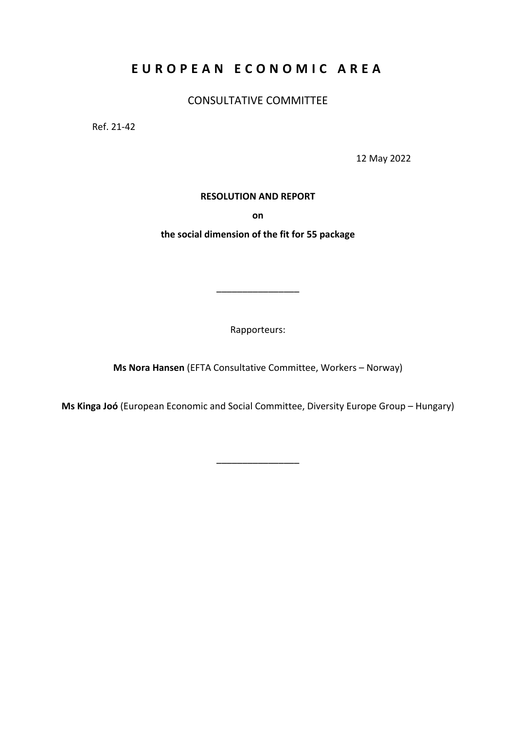# **EUROPEAN ECONOMIC AREA**

CONSULTATIVE COMMITTEE

Ref. 21-42

12 May 2022

# **RESOLUTION AND REPORT**

**on**

**the social dimension of the fit for 55 package** 

Rapporteurs:

––––––––––––––––

**Ms Nora Hansen** (EFTA Consultative Committee, Workers – Norway)

**Ms Kinga Joó** (European Economic and Social Committee, Diversity Europe Group – Hungary)

––––––––––––––––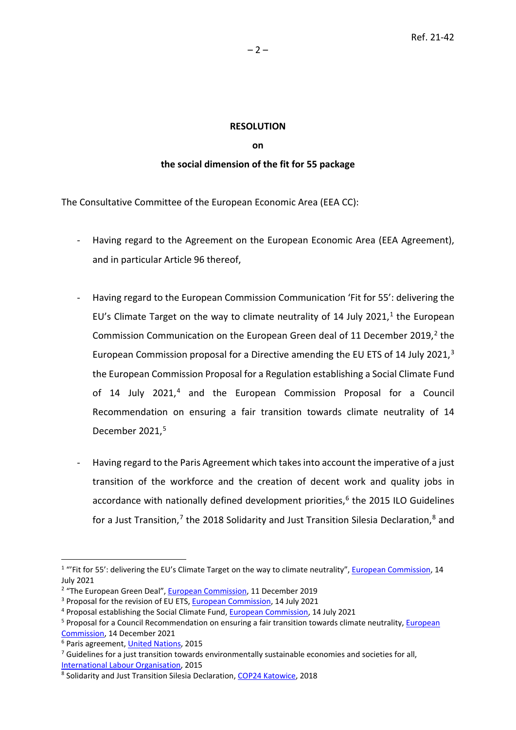# **RESOLUTION**

#### **on**

# **the social dimension of the fit for 55 package**

The Consultative Committee of the European Economic Area (EEA CC):

- Having regard to the Agreement on the European Economic Area (EEA Agreement), and in particular Article 96 thereof,
- Having regard to the European Commission Communication 'Fit for 55': delivering the EU's Climate Target on the way to climate neutrality of [1](#page-1-0)4 July 2021, $<sup>1</sup>$  the European</sup> Commission Communication on the European Green deal of 11 December [2](#page-1-1)019,<sup>2</sup> the European Commission proposal for a Directive amending the EU ETS of 14 July 2021,<sup>[3](#page-1-2)</sup> the European Commission Proposal for a Regulation establishing a Social Climate Fund of 1[4](#page-1-3) July 2021,<sup>4</sup> and the European Commission Proposal for a Council Recommendation on ensuring a fair transition towards climate neutrality of 14 December 2021, [5](#page-1-4)
- Having regard to the Paris Agreement which takes into account the imperative of a just transition of the workforce and the creation of decent work and quality jobs in accordance with nationally defined development priorities,<sup>[6](#page-1-5)</sup> the 2015 ILO Guidelines for a Just Transition,<sup>7</sup> the 201[8](#page-1-7) Solidarity and Just Transition Silesia Declaration,<sup>8</sup> and

<span id="page-1-0"></span><sup>&</sup>lt;sup>1</sup> "'Fit for 55': delivering the EU's Climate Target on the way to climate neutrality", *European Commission*, 14 July 2021

<span id="page-1-1"></span><sup>&</sup>lt;sup>2</sup> "The European Green Deal", [European Commission,](https://eur-lex.europa.eu/legal-content/EN/TXT/?qid=1588580774040&uri=CELEX%3A52019DC0640) 11 December 2019

<span id="page-1-2"></span><sup>&</sup>lt;sup>3</sup> Proposal for the revision of EU ETS[, European Commission,](https://ec.europa.eu/info/sites/default/files/revision-eu-ets_with-annex_en_0.pdf) 14 July 2021

<span id="page-1-3"></span><sup>4</sup> Proposal establishing the Social Climate Fund[, European Commission,](https://ec.europa.eu/info/sites/default/files/social-climate-fund_with-annex_en.pdf) 14 July 2021

<span id="page-1-4"></span><sup>5</sup> Proposal for a Council Recommendation on ensuring a fair transition towards climate neutrality[, European](https://ec.europa.eu/social/main.jsp?langId=en&catId=89&newsId=10125&furtherNews=yes)  [Commission,](https://ec.europa.eu/social/main.jsp?langId=en&catId=89&newsId=10125&furtherNews=yes) 14 December 2021

<span id="page-1-5"></span><sup>6</sup> Paris agreement[, United Nations,](https://unfccc.int/sites/default/files/english_paris_agreement.pdf) 2015

<span id="page-1-6"></span> $7$  Guidelines for a just transition towards environmentally sustainable economies and societies for all, [International Labour Organisation,](https://www.ilo.org/wcmsp5/groups/public/---ed_emp/---emp_ent/documents/publication/wcms_432859.pdf) 2015

<span id="page-1-7"></span><sup>&</sup>lt;sup>8</sup> Solidarity and Just Transition Silesia Declaration[, COP24 Katowice,](https://news.industriall-europe.eu/content/documents/upload/2018/12/636797104665663270_Solidarity%20and%20Just%20Transition%20Silesia%20Declaration.pdf) 2018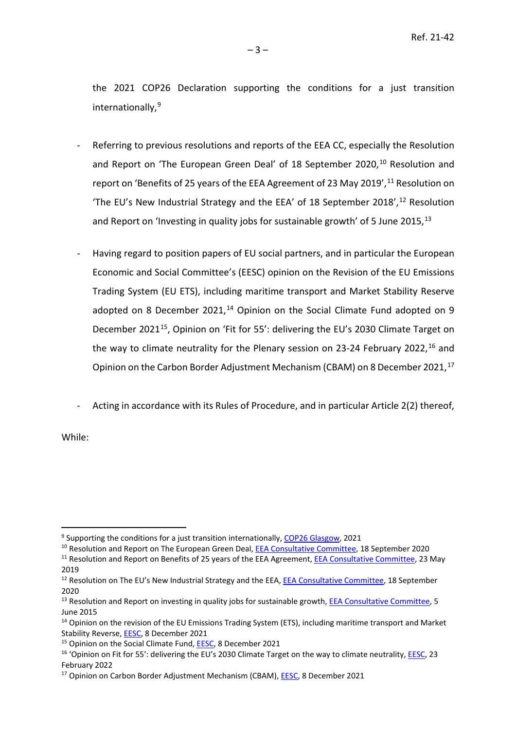the 2021 COP26 Declaration supporting the conditions for a just transition internationally, [9](#page-2-0)

- Referring to previous resolutions and reports of the EEA CC, especially the Resolution and Report on 'The European Green Deal' of 18 September 2020,<sup>[10](#page-2-1)</sup> Resolution and report on 'Benefits of 25 years of the EEA Agreement of 23 May 2019',  $^{11}$  $^{11}$  $^{11}$  Resolution on 'The EU's New Industrial Strategy and the EEA' of 18 September 2018', $^{12}$  Resolution and Report on 'Investing in quality jobs for sustainable growth' of 5 June 2015, [13](#page-2-4)
- Having regard to position papers of EU social partners, and in particular the European Economic and Social Committee's (EESC) opinion on the Revision of the EU Emissions Trading System (EU ETS), including maritime transport and Market Stability Reserve adopted on 8 December 2021, $14$  Opinion on the Social Climate Fund adopted on 9 December 2021<sup>[15](#page-2-6)</sup>, Opinion on 'Fit for 55': delivering the EU's 2030 Climate Target on the way to climate neutrality for the Plenary session on 23-24 February 2022,<sup>16</sup> and Opinion on the Carbon Border Adjustment Mechanism (CBAM) on 8 December 2021.<sup>[17](#page-2-8)</sup>
- Acting in accordance with its Rules of Procedure, and in particular Article 2(2) thereof,

While:

<span id="page-2-0"></span><sup>&</sup>lt;sup>9</sup> Supporting the conditions for a just transition internationally, [COP26 Glasgow,](https://ukcop26.org/supporting-the-conditions-for-a-just-transition-internationally/) 2021

<span id="page-2-1"></span><sup>&</sup>lt;sup>10</sup> Resolution and Report on The European Green Deal, **EEA Consultative Committee**, 18 September 2020

<span id="page-2-2"></span><sup>&</sup>lt;sup>11</sup> Resolution and Report on Benefits of 25 years of the EEA Agreement[, EEA Consultative Committee,](https://www.efta.int/sites/default/files/19-580_FINAL_Resolution_and_report_on_Benefits_of_25_years_of_the_EEA_Agreement_1.pdf) 23 May 2019

<span id="page-2-3"></span><sup>&</sup>lt;sup>12</sup> Resolution on The EU's New Industrial Strategy and the EEA[, EEA Consultative Committee,](https://www.efta.int/sites/default/files/20-3238_EEA_CC_Resolution_on_the_EUs_Industrial_Strategy_and_the_EEA.pdf) 18 September 2020

<span id="page-2-4"></span><sup>&</sup>lt;sup>13</sup> Resolution and Report on investing in quality jobs for sustainable growth, [EEA Consultative Committee,](https://www.efta.int/sites/default/files/documents/advisory-bodies/consultative-committee/cc-resolutions/English/EEA%20CC%20Resolution%20and%20report%20on%20investing%20in%20quality%20jobs%20for%20sustainable%20growth%20final.pdf) 5 June 2015

<span id="page-2-5"></span><sup>14</sup> Opinion on the revision of the EU Emissions Trading System (ETS), including maritime transport and Market Stability Reverse, **EESC**, 8 December 2021

<span id="page-2-6"></span><sup>&</sup>lt;sup>15</sup> Opinion on the Social Climate Fund, **EESC**, 8 December 2021

<span id="page-2-7"></span><sup>16 &#</sup>x27;Opinion on Fit for 55': delivering the EU's 2030 Climate Target on the way to climate neutrality, [EESC,](https://www.eesc.europa.eu/en/our-work/opinions-information-reports/opinions/fit-55-delivering-eus-2030-climate-target-way-climate-neutrality) 23 February 2022

<span id="page-2-8"></span><sup>&</sup>lt;sup>17</sup> Opinion on Carbon Border Adjustment Mechanism (CBAM), **EESC**, 8 December 2021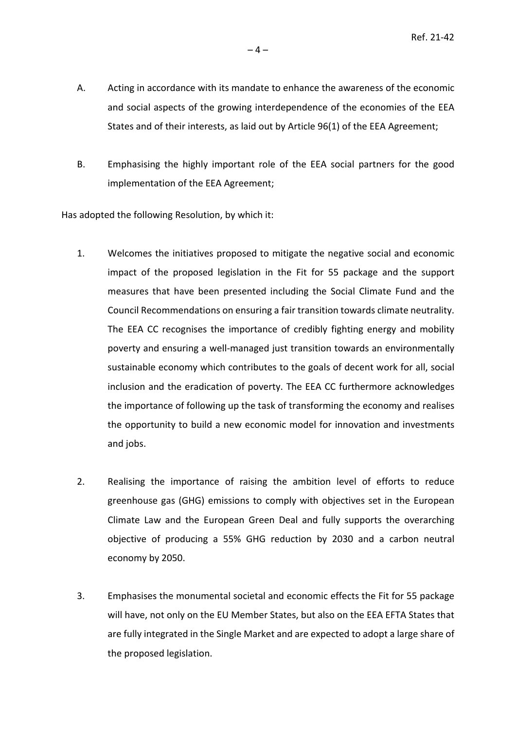- A. Acting in accordance with its mandate to enhance the awareness of the economic and social aspects of the growing interdependence of the economies of the EEA States and of their interests, as laid out by Article 96(1) of the EEA Agreement;
- B. Emphasising the highly important role of the EEA social partners for the good implementation of the EEA Agreement;

Has adopted the following Resolution, by which it:

- 1. Welcomes the initiatives proposed to mitigate the negative social and economic impact of the proposed legislation in the Fit for 55 package and the support measures that have been presented including the Social Climate Fund and the Council Recommendations on ensuring a fair transition towards climate neutrality. The EEA CC recognises the importance of credibly fighting energy and mobility poverty and ensuring a well-managed just transition towards an environmentally sustainable economy which contributes to the goals of decent work for all, social inclusion and the eradication of poverty. The EEA CC furthermore acknowledges the importance of following up the task of transforming the economy and realises the opportunity to build a new economic model for innovation and investments and jobs.
- 2. Realising the importance of raising the ambition level of efforts to reduce greenhouse gas (GHG) emissions to comply with objectives set in the European Climate Law and the European Green Deal and fully supports the overarching objective of producing a 55% GHG reduction by 2030 and a carbon neutral economy by 2050.
- 3. Emphasises the monumental societal and economic effects the Fit for 55 package will have, not only on the EU Member States, but also on the EEA EFTA States that are fully integrated in the Single Market and are expected to adopt a large share of the proposed legislation.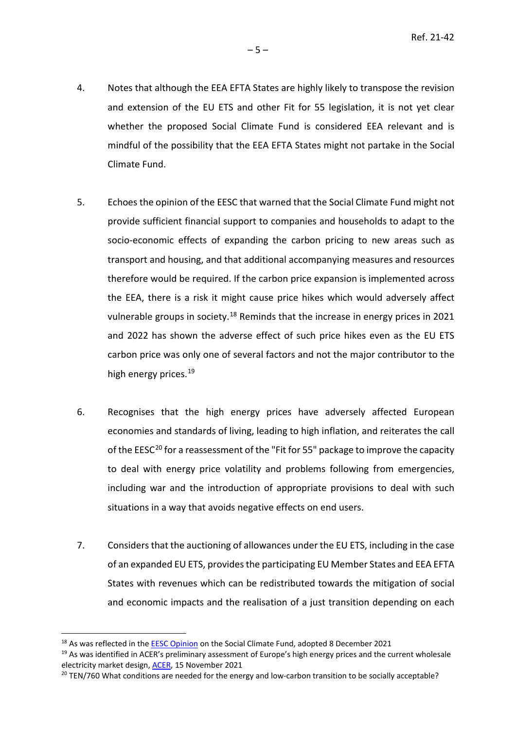- 4. Notes that although the EEA EFTA States are highly likely to transpose the revision and extension of the EU ETS and other Fit for 55 legislation, it is not yet clear whether the proposed Social Climate Fund is considered EEA relevant and is mindful of the possibility that the EEA EFTA States might not partake in the Social Climate Fund.
- 5. Echoes the opinion of the EESC that warned that the Social Climate Fund might not provide sufficient financial support to companies and households to adapt to the socio-economic effects of expanding the carbon pricing to new areas such as transport and housing, and that additional accompanying measures and resources therefore would be required. If the carbon price expansion is implemented across the EEA, there is a risk it might cause price hikes which would adversely affect vulnerable groups in society.<sup>[18](#page-4-0)</sup> Reminds that the increase in energy prices in 2021 and 2022 has shown the adverse effect of such price hikes even as the EU ETS carbon price was only one of several factors and not the major contributor to the high energy prices. [19](#page-4-1)
- 6. Recognises that the high energy prices have adversely affected European economies and standards of living, leading to high inflation, and reiterates the call of the  $EESC^{20}$  $EESC^{20}$  $EESC^{20}$  for a reassessment of the "Fit for 55" package to improve the capacity to deal with energy price volatility and problems following from emergencies, including war and the introduction of appropriate provisions to deal with such situations in a way that avoids negative effects on end users.
- 7. Considers that the auctioning of allowances under the EU ETS, including in the case of an expanded EU ETS, provides the participating EU Member States and EEA EFTA States with revenues which can be redistributed towards the mitigation of social and economic impacts and the realisation of a just transition depending on each

<span id="page-4-0"></span><sup>&</sup>lt;sup>18</sup> As was reflected in th[e EESC Opinion](https://www.eesc.europa.eu/en/our-work/opinions-information-reports/opinions/social-climate-fund) on the Social Climate Fund, adopted 8 December 2021

<span id="page-4-1"></span><sup>&</sup>lt;sup>19</sup> As was identified in ACER's preliminary assessment of Europe's high energy prices and the current wholesale electricity market design[, ACER,](https://extranet.acer.europa.eu/Official_documents/Acts_of_the_Agency/Publication/ACER) 15 November 2021

<span id="page-4-2"></span> $20$  TEN/760 What conditions are needed for the energy and low-carbon transition to be socially acceptable?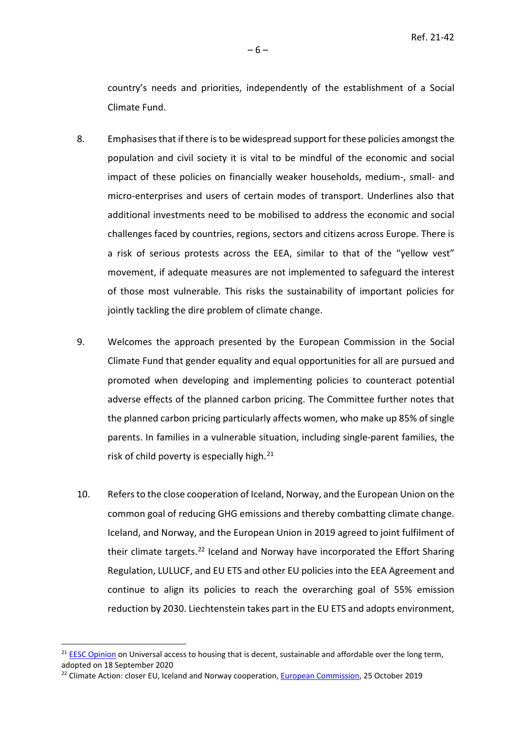country's needs and priorities, independently of the establishment of a Social Climate Fund.

- 8. Emphasises that if there is to be widespread support for these policies amongst the population and civil society it is vital to be mindful of the economic and social impact of these policies on financially weaker households, medium-, small- and micro-enterprises and users of certain modes of transport. Underlines also that additional investments need to be mobilised to address the economic and social challenges faced by countries, regions, sectors and citizens across Europe. There is a risk of serious protests across the EEA, similar to that of the "yellow vest" movement, if adequate measures are not implemented to safeguard the interest of those most vulnerable. This risks the sustainability of important policies for jointly tackling the dire problem of climate change.
- 9. Welcomes the approach presented by the European Commission in the Social Climate Fund that gender equality and equal opportunities for all are pursued and promoted when developing and implementing policies to counteract potential adverse effects of the planned carbon pricing. The Committee further notes that the planned carbon pricing particularly affects women, who make up 85% of single parents. In families in a vulnerable situation, including single-parent families, the risk of child poverty is especially high.<sup>[21](#page-5-0)</sup>
- 10. Refers to the close cooperation of Iceland, Norway, and the European Union on the common goal of reducing GHG emissions and thereby combatting climate change. Iceland, and Norway, and the European Union in 2019 agreed to joint fulfilment of their climate targets.<sup>22</sup> Iceland and Norway have incorporated the Effort Sharing Regulation, LULUCF, and EU ETS and other EU policies into the EEA Agreement and continue to align its policies to reach the overarching goal of 55% emission reduction by 2030. Liechtenstein takes part in the EU ETS and adopts environment,

<span id="page-5-0"></span><sup>&</sup>lt;sup>21</sup> [EESC Opinion](https://www.eesc.europa.eu/en/our-work/opinions-information-reports/opinions/universal-access-housing-decent-sustainable-and-affordable-over-long-term) on Universal access to housing that is decent, sustainable and affordable over the long term, adopted on 18 September 2020

<span id="page-5-1"></span><sup>&</sup>lt;sup>22</sup> Climate Action: closer EU, Iceland and Norway cooperation, **European Commission**, 25 October 2019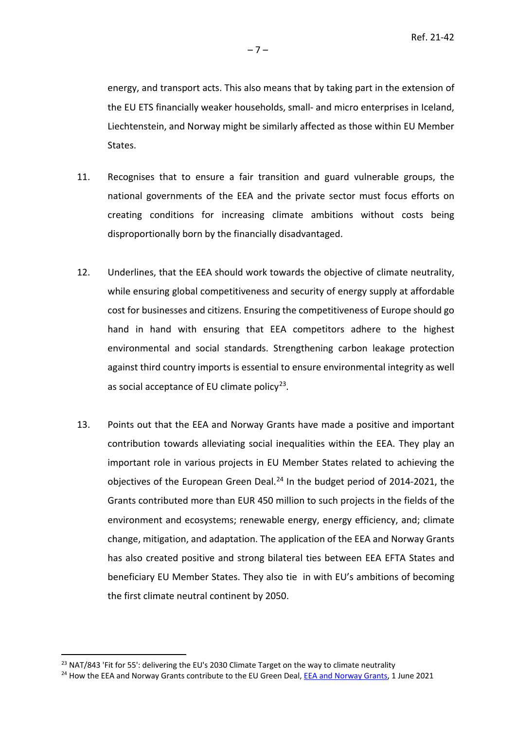energy, and transport acts. This also means that by taking part in the extension of the EU ETS financially weaker households, small- and micro enterprises in Iceland, Liechtenstein, and Norway might be similarly affected as those within EU Member States.

- 11. Recognises that to ensure a fair transition and guard vulnerable groups, the national governments of the EEA and the private sector must focus efforts on creating conditions for increasing climate ambitions without costs being disproportionally born by the financially disadvantaged.
- 12. Underlines, that the EEA should work towards the objective of climate neutrality, while ensuring global competitiveness and security of energy supply at affordable cost for businesses and citizens. Ensuring the competitiveness of Europe should go hand in hand with ensuring that EEA competitors adhere to the highest environmental and social standards. Strengthening carbon leakage protection against third country imports is essential to ensure environmental integrity as well as social acceptance of EU climate policy $2^3$ .
- 13. Points out that the EEA and Norway Grants have made a positive and important contribution towards alleviating social inequalities within the EEA. They play an important role in various projects in EU Member States related to achieving the objectives of the European Green Deal. $^{24}$  $^{24}$  $^{24}$  In the budget period of 2014-2021, the Grants contributed more than EUR 450 million to such projects in the fields of the environment and ecosystems; renewable energy, energy efficiency, and; climate change, mitigation, and adaptation. The application of the EEA and Norway Grants has also created positive and strong bilateral ties between EEA EFTA States and beneficiary EU Member States. They also tie in with EU's ambitions of becoming the first climate neutral continent by 2050.

<span id="page-6-0"></span><sup>&</sup>lt;sup>23</sup> NAT/843 'Fit for 55': delivering the EU's 2030 Climate Target on the way to climate neutrality

<span id="page-6-1"></span><sup>&</sup>lt;sup>24</sup> How the EEA and Norway Grants contribute to the EU Green Deal, **EEA and Norway Grants**, 1 June 2021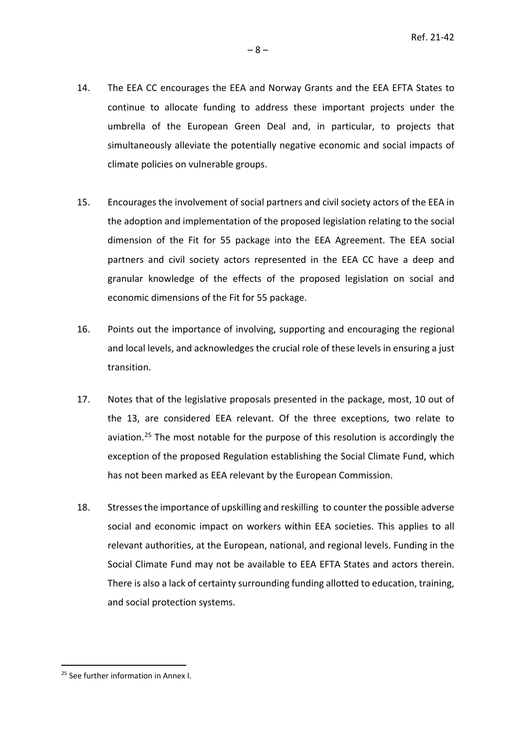- 14. The EEA CC encourages the EEA and Norway Grants and the EEA EFTA States to continue to allocate funding to address these important projects under the umbrella of the European Green Deal and, in particular, to projects that simultaneously alleviate the potentially negative economic and social impacts of climate policies on vulnerable groups.
- 15. Encourages the involvement of social partners and civil society actors of the EEA in the adoption and implementation of the proposed legislation relating to the social dimension of the Fit for 55 package into the EEA Agreement. The EEA social partners and civil society actors represented in the EEA CC have a deep and granular knowledge of the effects of the proposed legislation on social and economic dimensions of the Fit for 55 package.
- 16. Points out the importance of involving, supporting and encouraging the regional and local levels, and acknowledges the crucial role of these levels in ensuring a just transition.
- 17. Notes that of the legislative proposals presented in the package, most, 10 out of the 13, are considered EEA relevant. Of the three exceptions, two relate to aviation.<sup>[25](#page-7-0)</sup> The most notable for the purpose of this resolution is accordingly the exception of the proposed Regulation establishing the Social Climate Fund, which has not been marked as EEA relevant by the European Commission.
- 18. Stresses the importance of upskilling and reskilling to counter the possible adverse social and economic impact on workers within EEA societies. This applies to all relevant authorities, at the European, national, and regional levels. Funding in the Social Climate Fund may not be available to EEA EFTA States and actors therein. There is also a lack of certainty surrounding funding allotted to education, training, and social protection systems.

<span id="page-7-0"></span><sup>&</sup>lt;sup>25</sup> See further information in Annex I.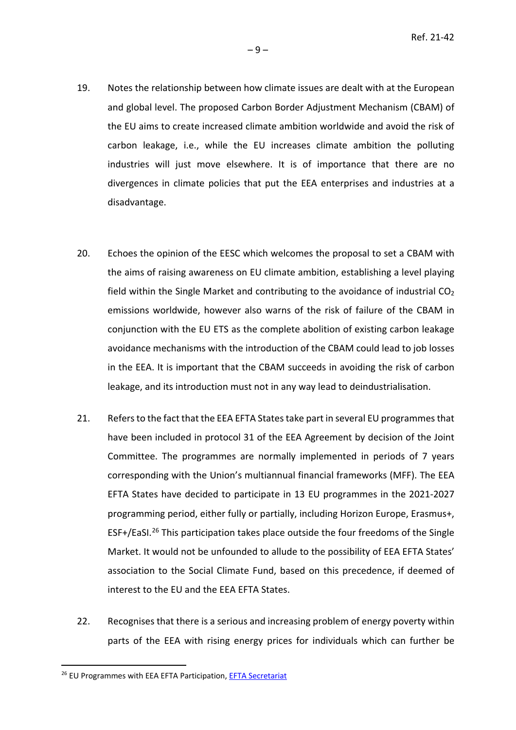- 19. Notes the relationship between how climate issues are dealt with at the European and global level. The proposed Carbon Border Adjustment Mechanism (CBAM) of the EU aims to create increased climate ambition worldwide and avoid the risk of carbon leakage, i.e., while the EU increases climate ambition the polluting industries will just move elsewhere. It is of importance that there are no divergences in climate policies that put the EEA enterprises and industries at a disadvantage.
- 20. Echoes the opinion of the EESC which welcomes the proposal to set a CBAM with the aims of raising awareness on EU climate ambition, establishing a level playing field within the Single Market and contributing to the avoidance of industrial  $CO<sub>2</sub>$ emissions worldwide, however also warns of the risk of failure of the CBAM in conjunction with the EU ETS as the complete abolition of existing carbon leakage avoidance mechanisms with the introduction of the CBAM could lead to job losses in the EEA. It is important that the CBAM succeeds in avoiding the risk of carbon leakage, and its introduction must not in any way lead to deindustrialisation.
- 21. Refers to the fact that the EEA EFTA States take part in several EU programmes that have been included in protocol 31 of the EEA Agreement by decision of the Joint Committee. The programmes are normally implemented in periods of 7 years corresponding with the Union's multiannual financial frameworks (MFF). The EEA EFTA States have decided to participate in 13 EU programmes in the 2021-2027 programming period, either fully or partially, including Horizon Europe, Erasmus+, ESF+/EaSI.<sup>[26](#page-8-0)</sup> This participation takes place outside the four freedoms of the Single Market. It would not be unfounded to allude to the possibility of EEA EFTA States' association to the Social Climate Fund, based on this precedence, if deemed of interest to the EU and the EEA EFTA States.
- 22. Recognises that there is a serious and increasing problem of energy poverty within parts of the EEA with rising energy prices for individuals which can further be

<span id="page-8-0"></span><sup>&</sup>lt;sup>26</sup> EU Programmes with EEA EFTA Participation, **EFTA Secretariat**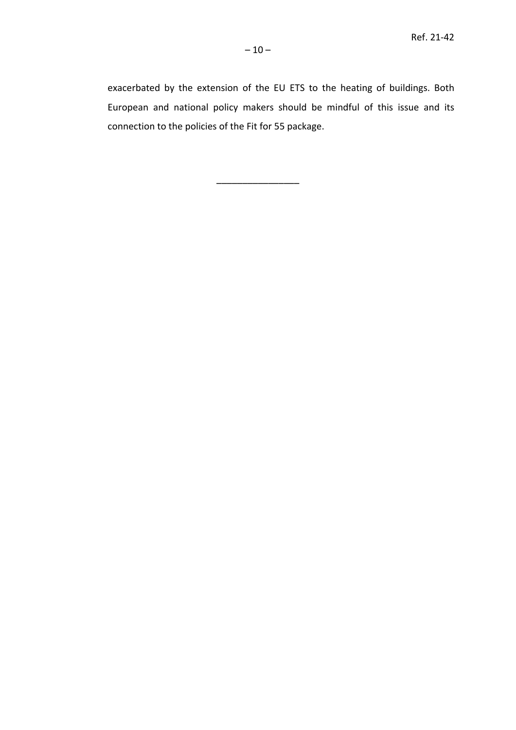exacerbated by the extension of the EU ETS to the heating of buildings. Both European and national policy makers should be mindful of this issue and its connection to the policies of the Fit for 55 package.

––––––––––––––––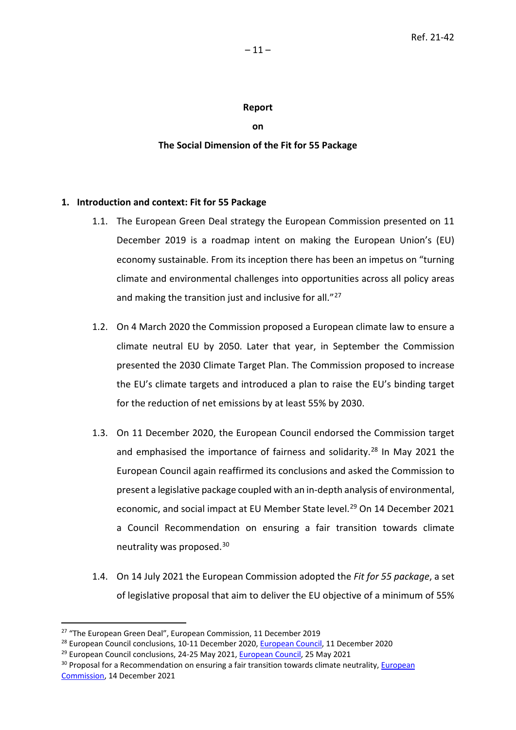### **Report**

**on**

# **The Social Dimension of the Fit for 55 Package**

# **1. Introduction and context: Fit for 55 Package**

- 1.1. The European Green Deal strategy the European Commission presented on 11 December 2019 is a roadmap intent on making the European Union's (EU) economy sustainable. From its inception there has been an impetus on "turning climate and environmental challenges into opportunities across all policy areas and making the transition just and inclusive for all."<sup>[27](#page-10-0)</sup>
- 1.2. On 4 March 2020 the Commission proposed a European climate law to ensure a climate neutral EU by 2050. Later that year, in September the Commission presented the 2030 Climate Target Plan. The Commission proposed to increase the EU's climate targets and introduced a plan to raise the EU's binding target for the reduction of net emissions by at least 55% by 2030.
- 1.3. On 11 December 2020, the European Council endorsed the Commission target and emphasised the importance of fairness and solidarity.<sup>[28](#page-10-1)</sup> In May 2021 the European Council again reaffirmed its conclusions and asked the Commission to present a legislative package coupled with an in-depth analysis of environmental, economic, and social impact at EU Member State level.<sup>[29](#page-10-2)</sup> On 14 December 2021 a Council Recommendation on ensuring a fair transition towards climate neutrality was proposed. [30](#page-10-3)
- 1.4. On 14 July 2021 the European Commission adopted the *Fit for 55 package*, a set of legislative proposal that aim to deliver the EU objective of a minimum of 55%

<span id="page-10-0"></span><sup>&</sup>lt;sup>27</sup> "The European Green Deal", European Commission, 11 December 2019

<span id="page-10-1"></span><sup>&</sup>lt;sup>28</sup> European Council conclusions, 10-11 December 2020, *European Council*, 11 December 2020

<span id="page-10-2"></span> $29$  European Council conclusions, 24-25 May 2021, [European Council,](https://www.consilium.europa.eu/en/press/press-releases/2021/05/25/european-council-conclusions-24-25-may-2021/#:%7E:text=On%2024%20and%2025%20May,the%20Middle%20East%20and%20Mali.) 25 May 2021

<span id="page-10-3"></span><sup>&</sup>lt;sup>30</sup> Proposal for a Recommendation on ensuring a fair transition towards climate neutrality, European [Commission,](https://ec.europa.eu/commission/presscorner/detail/en/ip_21_6795) 14 December 2021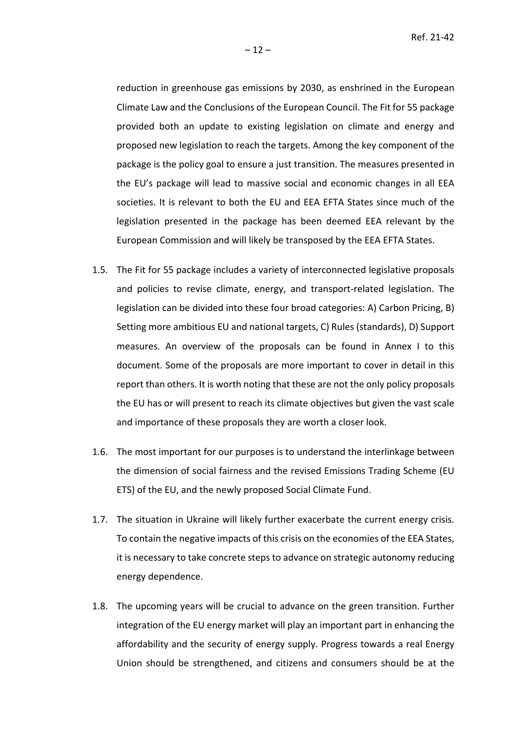reduction in greenhouse gas emissions by 2030, as enshrined in the European Climate Law and the Conclusions of the European Council. The Fit for 55 package provided both an update to existing legislation on climate and energy and proposed new legislation to reach the targets. Among the key component of the package is the policy goal to ensure a just transition. The measures presented in the EU's package will lead to massive social and economic changes in all EEA societies. It is relevant to both the EU and EEA EFTA States since much of the legislation presented in the package has been deemed EEA relevant by the European Commission and will likely be transposed by the EEA EFTA States.

- 1.5. The Fit for 55 package includes a variety of interconnected legislative proposals and policies to revise climate, energy, and transport-related legislation. The legislation can be divided into these four broad categories: A) Carbon Pricing, B) Setting more ambitious EU and national targets, C) Rules (standards), D) Support measures. An overview of the proposals can be found in Annex I to this document. Some of the proposals are more important to cover in detail in this report than others. It is worth noting that these are not the only policy proposals the EU has or will present to reach its climate objectives but given the vast scale and importance of these proposals they are worth a closer look.
- 1.6. The most important for our purposes is to understand the interlinkage between the dimension of social fairness and the revised Emissions Trading Scheme (EU ETS) of the EU, and the newly proposed Social Climate Fund.
- 1.7. The situation in Ukraine will likely further exacerbate the current energy crisis. To contain the negative impacts of this crisis on the economies of the EEA States, it is necessary to take concrete steps to advance on strategic autonomy reducing energy dependence.
- 1.8. The upcoming years will be crucial to advance on the green transition. Further integration of the EU energy market will play an important part in enhancing the affordability and the security of energy supply. Progress towards a real Energy Union should be strengthened, and citizens and consumers should be at the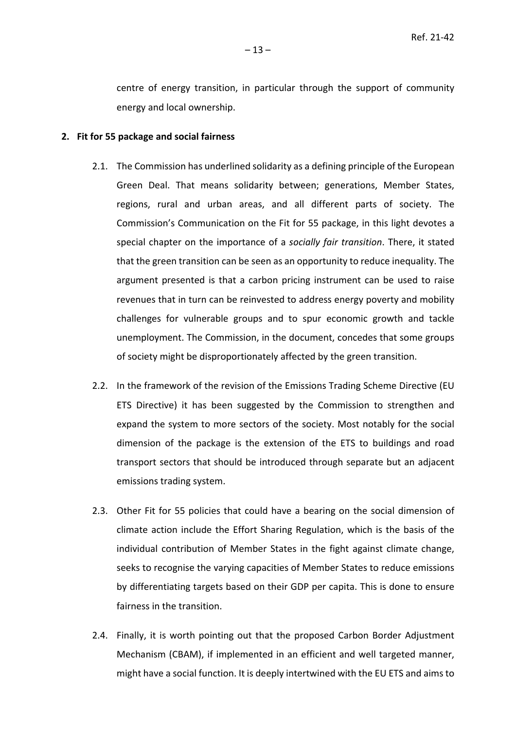centre of energy transition, in particular through the support of community energy and local ownership.

#### **2. Fit for 55 package and social fairness**

- 2.1. The Commission has underlined solidarity as a defining principle of the European Green Deal. That means solidarity between; generations, Member States, regions, rural and urban areas, and all different parts of society. The Commission's Communication on the Fit for 55 package, in this light devotes a special chapter on the importance of a *socially fair transition*. There, it stated that the green transition can be seen as an opportunity to reduce inequality. The argument presented is that a carbon pricing instrument can be used to raise revenues that in turn can be reinvested to address energy poverty and mobility challenges for vulnerable groups and to spur economic growth and tackle unemployment. The Commission, in the document, concedes that some groups of society might be disproportionately affected by the green transition.
- 2.2. In the framework of the revision of the Emissions Trading Scheme Directive (EU ETS Directive) it has been suggested by the Commission to strengthen and expand the system to more sectors of the society. Most notably for the social dimension of the package is the extension of the ETS to buildings and road transport sectors that should be introduced through separate but an adjacent emissions trading system.
- 2.3. Other Fit for 55 policies that could have a bearing on the social dimension of climate action include the Effort Sharing Regulation, which is the basis of the individual contribution of Member States in the fight against climate change, seeks to recognise the varying capacities of Member States to reduce emissions by differentiating targets based on their GDP per capita. This is done to ensure fairness in the transition.
- 2.4. Finally, it is worth pointing out that the proposed Carbon Border Adjustment Mechanism (CBAM), if implemented in an efficient and well targeted manner, might have a social function. It is deeply intertwined with the EU ETS and aims to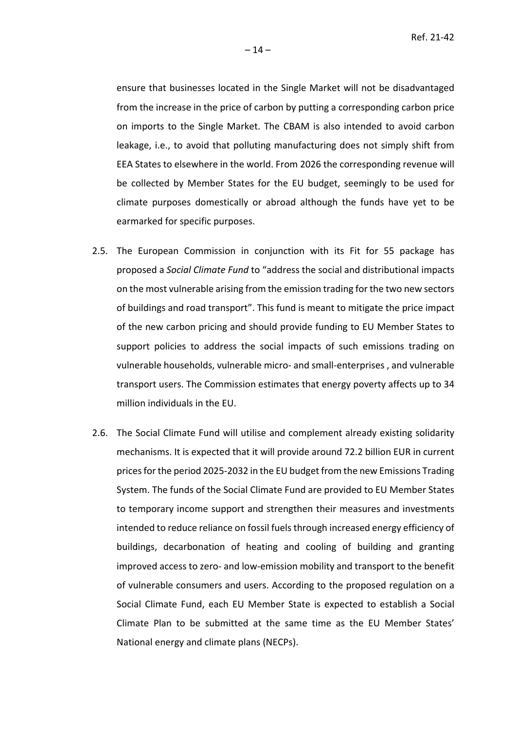ensure that businesses located in the Single Market will not be disadvantaged from the increase in the price of carbon by putting a corresponding carbon price on imports to the Single Market. The CBAM is also intended to avoid carbon leakage, i.e., to avoid that polluting manufacturing does not simply shift from EEA States to elsewhere in the world. From 2026 the corresponding revenue will be collected by Member States for the EU budget, seemingly to be used for climate purposes domestically or abroad although the funds have yet to be earmarked for specific purposes.

- 2.5. The European Commission in conjunction with its Fit for 55 package has proposed a *Social Climate Fund* to "address the social and distributional impacts on the most vulnerable arising from the emission trading for the two new sectors of buildings and road transport". This fund is meant to mitigate the price impact of the new carbon pricing and should provide funding to EU Member States to support policies to address the social impacts of such emissions trading on vulnerable households, vulnerable micro- and small-enterprises , and vulnerable transport users. The Commission estimates that energy poverty affects up to 34 million individuals in the EU.
- 2.6. The Social Climate Fund will utilise and complement already existing solidarity mechanisms. It is expected that it will provide around 72.2 billion EUR in current prices for the period 2025-2032 in the EU budget from the new Emissions Trading System. The funds of the Social Climate Fund are provided to EU Member States to temporary income support and strengthen their measures and investments intended to reduce reliance on fossil fuels through increased energy efficiency of buildings, decarbonation of heating and cooling of building and granting improved access to zero- and low-emission mobility and transport to the benefit of vulnerable consumers and users. According to the proposed regulation on a Social Climate Fund, each EU Member State is expected to establish a Social Climate Plan to be submitted at the same time as the EU Member States' National energy and climate plans (NECPs).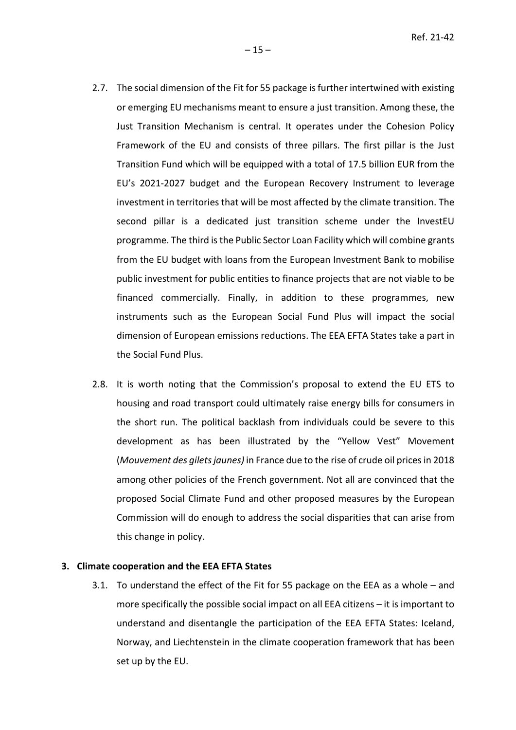- 2.7. The social dimension of the Fit for 55 package is further intertwined with existing or emerging EU mechanisms meant to ensure a just transition. Among these, the Just Transition Mechanism is central. It operates under the Cohesion Policy Framework of the EU and consists of three pillars. The first pillar is the Just Transition Fund which will be equipped with a total of 17.5 billion EUR from the EU's 2021-2027 budget and the European Recovery Instrument to leverage investment in territories that will be most affected by the climate transition. The second pillar is a dedicated just transition scheme under the InvestEU programme. The third is the Public Sector Loan Facility which will combine grants from the EU budget with loans from the European Investment Bank to mobilise public investment for public entities to finance projects that are not viable to be financed commercially. Finally, in addition to these programmes, new instruments such as the European Social Fund Plus will impact the social dimension of European emissions reductions. The EEA EFTA States take a part in the Social Fund Plus.
- 2.8. It is worth noting that the Commission's proposal to extend the EU ETS to housing and road transport could ultimately raise energy bills for consumers in the short run. The political backlash from individuals could be severe to this development as has been illustrated by the "Yellow Vest" Movement (*Mouvement des gilets jaunes)* in France due to the rise of crude oil prices in 2018 among other policies of the French government. Not all are convinced that the proposed Social Climate Fund and other proposed measures by the European Commission will do enough to address the social disparities that can arise from this change in policy.

### **3. Climate cooperation and the EEA EFTA States**

3.1. To understand the effect of the Fit for 55 package on the EEA as a whole – and more specifically the possible social impact on all EEA citizens – it is important to understand and disentangle the participation of the EEA EFTA States: Iceland, Norway, and Liechtenstein in the climate cooperation framework that has been set up by the EU.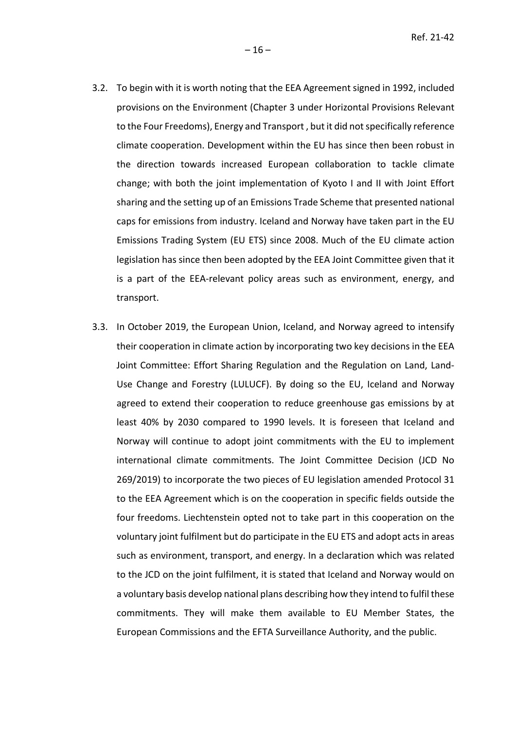- 3.2. To begin with it is worth noting that the EEA Agreement signed in 1992, included provisions on the Environment (Chapter 3 under Horizontal Provisions Relevant to the Four Freedoms), Energy and Transport , but it did not specifically reference climate cooperation. Development within the EU has since then been robust in the direction towards increased European collaboration to tackle climate change; with both the joint implementation of Kyoto I and II with Joint Effort sharing and the setting up of an Emissions Trade Scheme that presented national caps for emissions from industry. Iceland and Norway have taken part in the EU Emissions Trading System (EU ETS) since 2008. Much of the EU climate action legislation has since then been adopted by the EEA Joint Committee given that it is a part of the EEA-relevant policy areas such as environment, energy, and transport.
- 3.3. In October 2019, the European Union, Iceland, and Norway agreed to intensify their cooperation in climate action by incorporating two key decisions in the EEA Joint Committee: Effort Sharing Regulation and the Regulation on Land, Land-Use Change and Forestry (LULUCF). By doing so the EU, Iceland and Norway agreed to extend their cooperation to reduce greenhouse gas emissions by at least 40% by 2030 compared to 1990 levels. It is foreseen that Iceland and Norway will continue to adopt joint commitments with the EU to implement international climate commitments. The Joint Committee Decision (JCD No 269/2019) to incorporate the two pieces of EU legislation amended Protocol 31 to the EEA Agreement which is on the cooperation in specific fields outside the four freedoms. Liechtenstein opted not to take part in this cooperation on the voluntary joint fulfilment but do participate in the EU ETS and adopt acts in areas such as environment, transport, and energy. In a declaration which was related to the JCD on the joint fulfilment, it is stated that Iceland and Norway would on a voluntary basis develop national plans describing how they intend to fulfil these commitments. They will make them available to EU Member States, the European Commissions and the EFTA Surveillance Authority, and the public.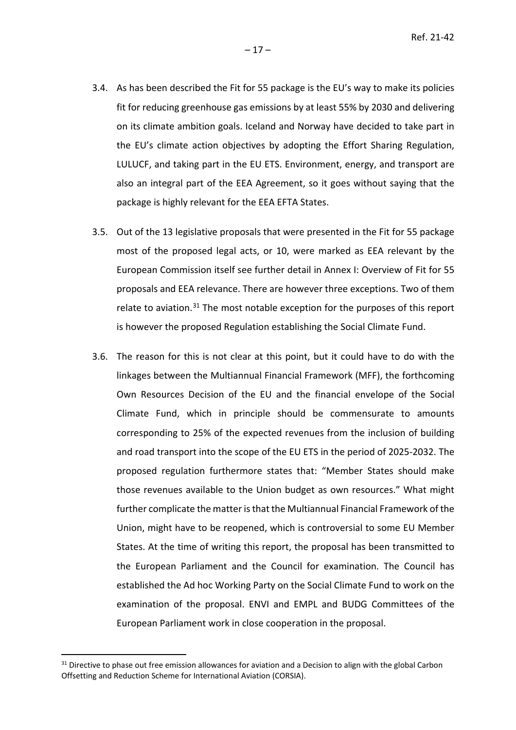- 3.4. As has been described the Fit for 55 package is the EU's way to make its policies fit for reducing greenhouse gas emissions by at least 55% by 2030 and delivering on its climate ambition goals. Iceland and Norway have decided to take part in the EU's climate action objectives by adopting the Effort Sharing Regulation, LULUCF, and taking part in the EU ETS. Environment, energy, and transport are also an integral part of the EEA Agreement, so it goes without saying that the package is highly relevant for the EEA EFTA States.
- 3.5. Out of the 13 legislative proposals that were presented in the Fit for 55 package most of the proposed legal acts, or 10, were marked as EEA relevant by the European Commission itself see further detail in Annex I: Overview of Fit for 55 proposals and EEA relevance. There are however three exceptions. Two of them relate to aviation.<sup>[31](#page-16-0)</sup> The most notable exception for the purposes of this report is however the proposed Regulation establishing the Social Climate Fund.
- 3.6. The reason for this is not clear at this point, but it could have to do with the linkages between the Multiannual Financial Framework (MFF), the forthcoming Own Resources Decision of the EU and the financial envelope of the Social Climate Fund, which in principle should be commensurate to amounts corresponding to 25% of the expected revenues from the inclusion of building and road transport into the scope of the EU ETS in the period of 2025-2032. The proposed regulation furthermore states that: "Member States should make those revenues available to the Union budget as own resources." What might further complicate the matter is that the Multiannual Financial Framework of the Union, might have to be reopened, which is controversial to some EU Member States. At the time of writing this report, the proposal has been transmitted to the European Parliament and the Council for examination. The Council has established the Ad hoc Working Party on the Social Climate Fund to work on the examination of the proposal. ENVI and EMPL and BUDG Committees of the European Parliament work in close cooperation in the proposal.

<span id="page-16-0"></span><sup>&</sup>lt;sup>31</sup> Directive to phase out free emission allowances for aviation and a Decision to align with the global Carbon Offsetting and Reduction Scheme for International Aviation (CORSIA).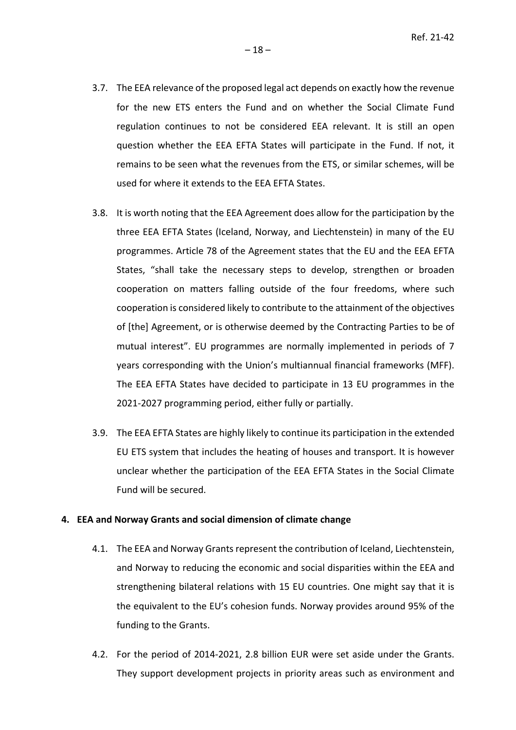- 3.7. The EEA relevance of the proposed legal act depends on exactly how the revenue for the new ETS enters the Fund and on whether the Social Climate Fund regulation continues to not be considered EEA relevant. It is still an open question whether the EEA EFTA States will participate in the Fund. If not, it remains to be seen what the revenues from the ETS, or similar schemes, will be used for where it extends to the EEA EFTA States.
- 3.8. It is worth noting that the EEA Agreement does allow for the participation by the three EEA EFTA States (Iceland, Norway, and Liechtenstein) in many of the EU programmes. Article 78 of the Agreement states that the EU and the EEA EFTA States, "shall take the necessary steps to develop, strengthen or broaden cooperation on matters falling outside of the four freedoms, where such cooperation is considered likely to contribute to the attainment of the objectives of [the] Agreement, or is otherwise deemed by the Contracting Parties to be of mutual interest". EU programmes are normally implemented in periods of 7 years corresponding with the Union's multiannual financial frameworks (MFF). The EEA EFTA States have decided to participate in 13 EU programmes in the 2021-2027 programming period, either fully or partially.
- 3.9. The EEA EFTA States are highly likely to continue its participation in the extended EU ETS system that includes the heating of houses and transport. It is however unclear whether the participation of the EEA EFTA States in the Social Climate Fund will be secured.

### **4. EEA and Norway Grants and social dimension of climate change**

- 4.1. The EEA and Norway Grants represent the contribution of Iceland, Liechtenstein, and Norway to reducing the economic and social disparities within the EEA and strengthening bilateral relations with 15 EU countries. One might say that it is the equivalent to the EU's cohesion funds. Norway provides around 95% of the funding to the Grants.
- 4.2. For the period of 2014-2021, 2.8 billion EUR were set aside under the Grants. They support development projects in priority areas such as environment and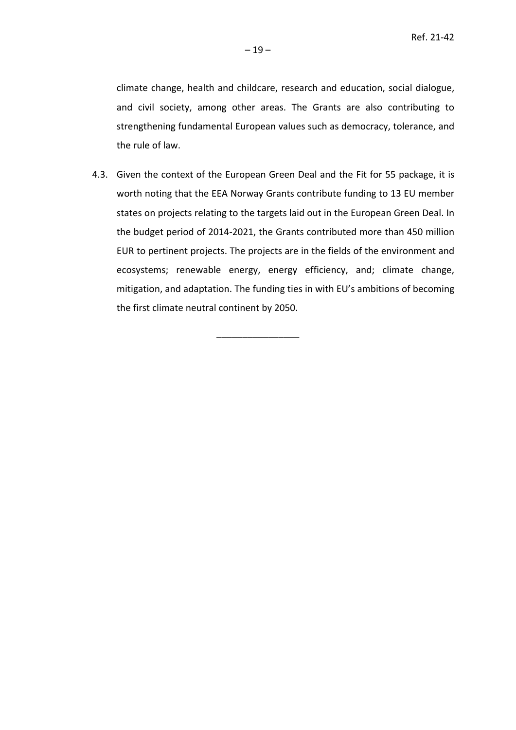climate change, health and childcare, research and education, social dialogue, and civil society, among other areas. The Grants are also contributing to strengthening fundamental European values such as democracy, tolerance, and the rule of law.

4.3. Given the context of the European Green Deal and the Fit for 55 package, it is worth noting that the EEA Norway Grants contribute funding to 13 EU member states on projects relating to the targets laid out in the European Green Deal. In the budget period of 2014-2021, the Grants contributed more than 450 million EUR to pertinent projects. The projects are in the fields of the environment and ecosystems; renewable energy, energy efficiency, and; climate change, mitigation, and adaptation. The funding ties in with EU's ambitions of becoming the first climate neutral continent by 2050.

––––––––––––––––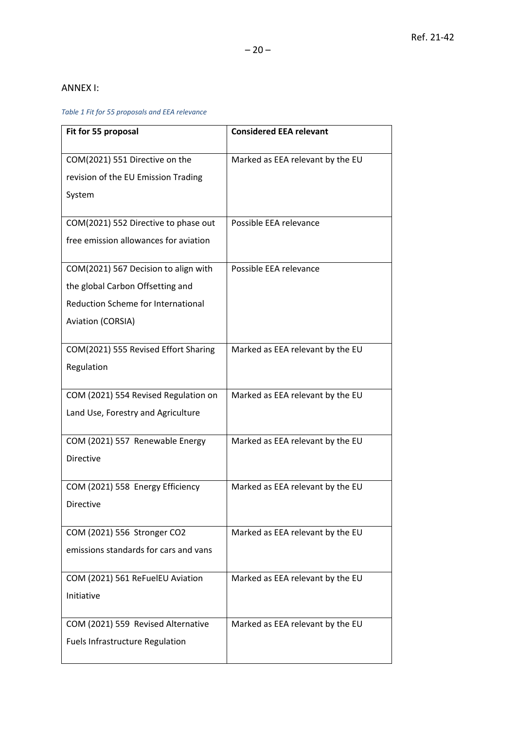# ANNEX I:

## *Table 1 Fit for 55 proposals and EEA relevance*

| Fit for 55 proposal                                                           | <b>Considered EEA relevant</b>   |
|-------------------------------------------------------------------------------|----------------------------------|
| COM(2021) 551 Directive on the<br>revision of the EU Emission Trading         | Marked as EEA relevant by the EU |
| System                                                                        |                                  |
| COM(2021) 552 Directive to phase out<br>free emission allowances for aviation | Possible EEA relevance           |
| COM(2021) 567 Decision to align with                                          | Possible EEA relevance           |
| the global Carbon Offsetting and<br>Reduction Scheme for International        |                                  |
| Aviation (CORSIA)                                                             |                                  |
| COM(2021) 555 Revised Effort Sharing<br>Regulation                            | Marked as EEA relevant by the EU |
| COM (2021) 554 Revised Regulation on<br>Land Use, Forestry and Agriculture    | Marked as EEA relevant by the EU |
| COM (2021) 557 Renewable Energy<br><b>Directive</b>                           | Marked as EEA relevant by the EU |
| COM (2021) 558 Energy Efficiency<br><b>Directive</b>                          | Marked as EEA relevant by the EU |
| COM (2021) 556 Stronger CO2<br>emissions standards for cars and vans          | Marked as EEA relevant by the EU |
| COM (2021) 561 ReFuelEU Aviation<br>Initiative                                | Marked as EEA relevant by the EU |
| COM (2021) 559 Revised Alternative<br><b>Fuels Infrastructure Regulation</b>  | Marked as EEA relevant by the EU |